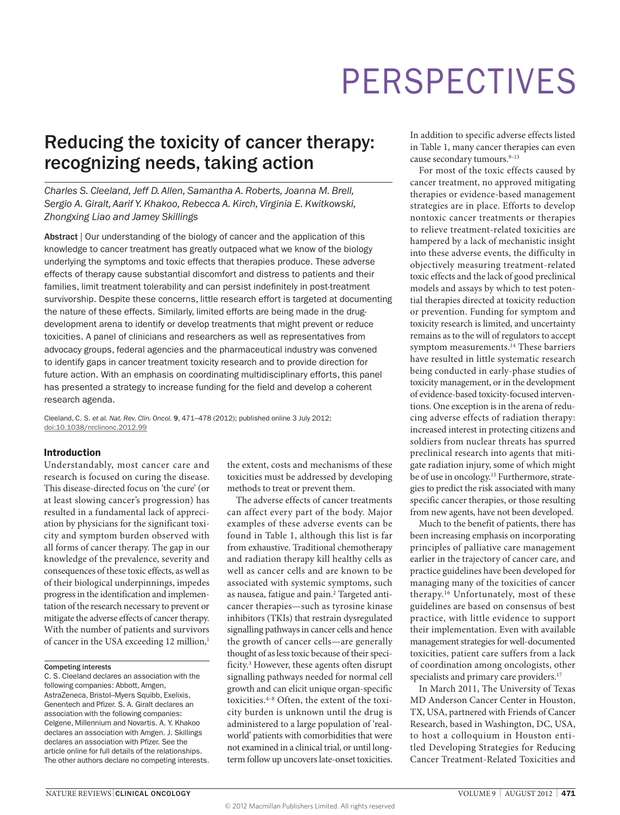## Reducing the toxicity of cancer therapy: recognizing needs, taking action

*Charles S. Cleeland, Jeff D. Allen, Samantha A. Roberts, Joanna M. Brell, Sergio A. Giralt, Aarif Y. Khakoo, Rebecca A. Kirch, Virginia E. Kwitkowski, Zhongxing Liao and Jamey Skillings*

Abstract | Our understanding of the biology of cancer and the application of this knowledge to cancer treatment has greatly outpaced what we know of the biology underlying the symptoms and toxic effects that therapies produce. These adverse effects of therapy cause substantial discomfort and distress to patients and their families, limit treatment tolerability and can persist indefinitely in post-treatment survivorship. Despite these concerns, little research effort is targeted at documenting the nature of these effects. Similarly, limited efforts are being made in the drugdevelopment arena to identify or develop treatments that might prevent or reduce toxicities. A panel of clinicians and researchers as well as representatives from advocacy groups, federal agencies and the pharmaceutical industry was convened to identify gaps in cancer treatment toxicity research and to provide direction for future action. With an emphasis on coordinating multidisciplinary efforts, this panel has presented a strategy to increase funding for the field and develop a coherent research agenda.

Cleeland, C. S. *et al. Nat. Rev. Clin. Oncol.* 9, 471–478 (2012); published online 3 July 2012; [doi:10.1038/nrclinonc.2012.99](http://www.nature.com/doifinder/10.1038/nrclinonc.2012.99)

#### Introduction

Understandably, most cancer care and research is focused on curing the disease. This disease-directed focus on 'the cure' (or at least slowing cancer's progression) has resulted in a fundamental lack of appreciation by physicians for the significant toxicity and symptom burden observed with all forms of cancer therapy. The gap in our knowledge of the prevalence, severity and consequences of these toxic effects, as well as of their biological underpinnings, impedes progress in the identification and implementation of the research necessary to prevent or mitigate the adverse effects of cancer therapy. With the number of patients and survivors of cancer in the USA exceeding 12 million,<sup>1</sup>

#### Competing interests

C. S. Cleeland declares an association with the following companies: Abbott, Amgen, AstraZeneca, Bristol–Myers Squibb, Exelixis, Genentech and Pfizer. S. A. Giralt declares an association with the following companies: Celgene, Millennium and Novartis. A. Y. Khakoo declares an association with Amgen. J. Skillings declares an association with Pfizer. See the article online for full details of the relationships. The other authors declare no competing interests. the extent, costs and mechanisms of these toxicities must be addressed by developing methods to treat or prevent them.

The adverse effects of cancer treatments can affect every part of the body. Major examples of these adverse events can be found in Table 1, although this list is far from exhaustive. Traditional chemotherapy and radiation therapy kill healthy cells as well as cancer cells and are known to be associated with systemic symptoms, such as nausea, fatigue and pain.<sup>2</sup> Targeted anticancer therapies—such as tyrosine kinase inhibitors (TKIs) that restrain dysregulated signalling pathways in cancer cells and hence the growth of cancer cells—are generally thought of as less toxic because of their specificity.3 However, these agents often disrupt signalling pathways needed for normal cell growth and can elicit unique organ-specific toxicities.4–8 Often, the extent of the toxicity burden is unknown until the drug is administered to a large population of 'realworld' patients with comorbidities that were not examined in a clinical trial, or until longterm follow up uncovers late-onset toxicities.

In addition to specific adverse effects listed in Table 1, many cancer therapies can even cause secondary tumours.<sup>9-13</sup>

For most of the toxic effects caused by cancer treatment, no approved mitigating therapies or evidence-based management strategies are in place. Efforts to develop nontoxic cancer treatments or therapies to relieve treatment-related toxicities are hampered by a lack of mechanistic insight into these adverse events, the difficulty in objectively measuring treatment-related toxic effects and the lack of good preclinical models and assays by which to test potential therapies directed at toxicity reduction or prevention. Funding for symptom and toxicity research is limited, and uncertainty remains as to the will of regulators to accept symptom measurements.<sup>14</sup> These barriers have resulted in little systematic research being conducted in early-phase studies of toxicity management, or in the development of evidence-based toxicity-focused interventions. One exception is in the arena of reducing adverse effects of radiation therapy: increased interest in protecting citizens and soldiers from nuclear threats has spurred preclinical research into agents that mitigate radiation injury, some of which might be of use in oncology.15 Furthermore, strategies to predict the risk associated with many specific cancer therapies, or those resulting from new agents, have not been developed.

Much to the benefit of patients, there has been increasing emphasis on incorporating principles of palliative care management earlier in the trajectory of cancer care, and practice guidelines have been developed for managing many of the toxicities of cancer therapy.16 Unfortunately, most of these guidelines are based on consensus of best practice, with little evidence to support their implementation. Even with available management strategies for well-documented toxicities, patient care suffers from a lack of coordination among oncologists, other specialists and primary care providers.<sup>17</sup>

In March 2011, The University of Texas MD Anderson Cancer Center in Houston, TX, USA, partnered with Friends of Cancer Research, based in Washington, DC, USA, to host a colloquium in Houston entitled Developing Strategies for Reducing Cancer Treatment-Related Toxicities and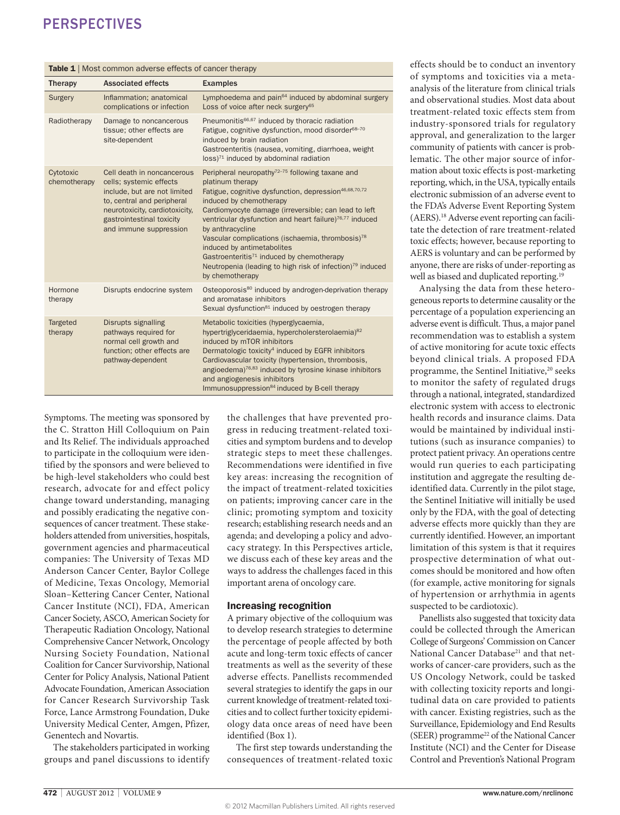Table 1 | Most common adverse effects of cancer therapy

| <b>Therapy</b>            | <b>Associated effects</b>                                                                                                                                                                                    | <b>Examples</b>                                                                                                                                                                                                                                                                                                                                                                                                                                                                                                                                                           |
|---------------------------|--------------------------------------------------------------------------------------------------------------------------------------------------------------------------------------------------------------|---------------------------------------------------------------------------------------------------------------------------------------------------------------------------------------------------------------------------------------------------------------------------------------------------------------------------------------------------------------------------------------------------------------------------------------------------------------------------------------------------------------------------------------------------------------------------|
| <b>Surgery</b>            | Inflammation; anatomical<br>complications or infection                                                                                                                                                       | Lymphoedema and pain <sup>64</sup> induced by abdominal surgery<br>Loss of voice after neck surgery <sup>65</sup>                                                                                                                                                                                                                                                                                                                                                                                                                                                         |
| Radiotherapy              | Damage to noncancerous<br>tissue; other effects are<br>site-dependent                                                                                                                                        | Pneumonitis <sup>66,67</sup> induced by thoracic radiation<br>Fatigue, cognitive dysfunction, mood disorder <sup>68-70</sup><br>induced by brain radiation<br>Gastroenteritis (nausea, vomiting, diarrhoea, weight<br>$loss$ <sup>71</sup> induced by abdominal radiation                                                                                                                                                                                                                                                                                                 |
| Cytotoxic<br>chemotherapy | Cell death in noncancerous<br>cells; systemic effects<br>include, but are not limited<br>to, central and peripheral<br>neurotoxicity, cardiotoxicity,<br>gastrointestinal toxicity<br>and immune suppression | Peripheral neuropathy <sup>72-75</sup> following taxane and<br>platinum therapy<br>Fatigue, cognitive dysfunction, depression46,68,70,72<br>induced by chemotherapy<br>Cardiomyocyte damage (irreversible; can lead to left<br>ventricular dysfunction and heart failure) <sup>76,77</sup> induced<br>by anthracycline<br>Vascular complications (ischaemia, thrombosis) <sup>78</sup><br>induced by antimetabolites<br>Gastroenteritis <sup>71</sup> induced by chemotherapy<br>Neutropenia (leading to high risk of infection) <sup>79</sup> induced<br>by chemotherapy |
| Hormone<br>therapy        | Disrupts endocrine system                                                                                                                                                                                    | Osteoporosis <sup>80</sup> induced by androgen-deprivation therapy<br>and aromatase inhibitors<br>Sexual dysfunction <sup>81</sup> induced by oestrogen therapy                                                                                                                                                                                                                                                                                                                                                                                                           |
| Targeted<br>therapy       | <b>Disrupts signalling</b><br>pathways required for<br>normal cell growth and<br>function; other effects are<br>pathway-dependent                                                                            | Metabolic toxicities (hyperglycaemia,<br>hypertriglyceridaemia, hypercholersterolaemia) <sup>82</sup><br>induced by mTOR inhibitors<br>Dermatologic toxicity <sup>4</sup> induced by EGFR inhibitors<br>Cardiovascular toxicity (hypertension, thrombosis,<br>angioedema) <sup>76,83</sup> induced by tyrosine kinase inhibitors<br>and angiogenesis inhibitors<br>Immunosuppression <sup>84</sup> induced by B-cell therapy                                                                                                                                              |

Symptoms. The meeting was sponsored by the C. Stratton Hill Colloquium on Pain and Its Relief. The individuals approached to participate in the colloquium were identified by the sponsors and were believed to be high-level stakeholders who could best research, advocate for and effect policy change toward understanding, managing and possibly eradicating the negative consequences of cancer treatment. These stakeholders attended from universities, hospitals, government agencies and pharmaceutical companies: The University of Texas MD Anderson Cancer Center, Baylor College of Medicine, Texas Oncology, Memorial Sloan–Kettering Cancer Center, National Cancer Institute (NCI), FDA, American Cancer Society, ASCO, American Society for Therapeutic Radiation Oncology, National Comprehensive Cancer Network, Oncology Nursing Society Foundation, National Coalition for Cancer Survivorship, National Center for Policy Analysis, National Patient Advocate Foundation, American Association for Cancer Research Survivorship Task Force, Lance Armstrong Foundation, Duke University Medical Center, Amgen, Pfizer, Genentech and Novartis.

The stakeholders participated in working groups and panel discussions to identify the challenges that have prevented progress in reducing treatment-related toxicities and symptom burdens and to develop strategic steps to meet these challenges. Recommendations were identified in five key areas: increasing the recognition of the impact of treatment-related toxicities on patients; improving cancer care in the clinic; promoting symptom and toxicity research; establishing research needs and an agenda; and developing a policy and advocacy strategy. In this Perspectives article, we discuss each of these key areas and the ways to address the challenges faced in this important arena of oncology care.

#### Increasing recognition

A primary objective of the colloquium was to develop research strategies to determine the percentage of people affected by both acute and long-term toxic effects of cancer treatments as well as the severity of these adverse effects. Panellists recommended several strategies to identify the gaps in our current knowledge of treatment-related toxicities and to collect further toxicity epidemiology data once areas of need have been identified (Box 1).

The first step towards understanding the consequences of treatment-related toxic

effects should be to conduct an inventory of symptoms and toxicities via a metaanalysis of the literature from clinical trials and observational studies. Most data about treatment-related toxic effects stem from industry-sponsored trials for regulatory approval, and generalization to the larger community of patients with cancer is problematic. The other major source of information about toxic effects is post-marketing reporting, which, in the USA, typically entails electronic submission of an adverse event to the FDA's Adverse Event Reporting System (AERS).18 Adverse event reporting can facilitate the detection of rare treatment-related toxic effects; however, because reporting to AERS is voluntary and can be performed by anyone, there are risks of under-reporting as well as biased and duplicated reporting.<sup>19</sup>

Analysing the data from these heterogeneous reports to determine causality or the percentage of a population experiencing an adverse event is difficult. Thus, a major panel recommendation was to establish a system of active monitoring for acute toxic effects beyond clinical trials. A proposed FDA programme, the Sentinel Initiative,<sup>20</sup> seeks to monitor the safety of regulated drugs through a national, integrated, standardized electronic system with access to electronic health records and insurance claims. Data would be maintained by individual institutions (such as insurance companies) to protect patient privacy. An operations centre would run queries to each participating institution and aggregate the resulting deidentified data. Currently in the pilot stage, the Sentinel Initiative will initially be used only by the FDA, with the goal of detecting adverse effects more quickly than they are currently identified. However, an important limitation of this system is that it requires prospective determination of what outcomes should be monitored and how often (for example, active monitoring for signals of hypertension or arrhythmia in agents suspected to be cardiotoxic).

Panellists also suggested that toxicity data could be collected through the American College of Surgeons' Commission on Cancer National Cancer Database<sup>21</sup> and that networks of cancer-care providers, such as the US Oncology Network, could be tasked with collecting toxicity reports and longitudinal data on care provided to patients with cancer. Existing registries, such as the Surveillance, Epidemiology and End Results (SEER) programme<sup>22</sup> of the National Cancer Institute (NCI) and the Center for Disease Control and Prevention's National Program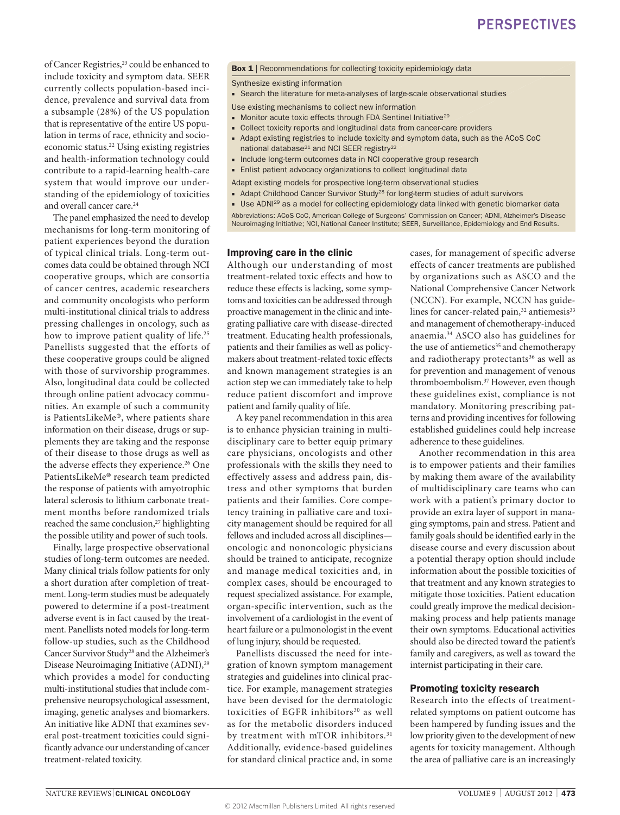of Cancer Registries,<sup>23</sup> could be enhanced to include toxicity and symptom data. SEER currently collects population-based incidence, prevalence and survival data from a subsample (28%) of the US population that is representative of the entire US population in terms of race, ethnicity and socioeconomic status.22 Using existing registries and health-information technology could contribute to a rapid-learning health-care system that would improve our understanding of the epidemiology of toxicities and overall cancer care.<sup>24</sup>

The panel emphasized the need to develop mechanisms for long-term monitoring of patient experiences beyond the duration of typical clinical trials. Long-term outcomes data could be obtained through NCI cooperative groups, which are consortia of cancer centres, academic researchers and community oncologists who perform multi-institutional clinical trials to address pressing challenges in oncology, such as how to improve patient quality of life.<sup>25</sup> Panellists suggested that the efforts of these cooperative groups could be aligned with those of survivorship programmes. Also, longitudinal data could be collected through online patient advocacy communities. An example of such a community is PatientsLikeMe®, where patients share information on their disease, drugs or supplements they are taking and the response of their disease to those drugs as well as the adverse effects they experience.<sup>26</sup> One PatientsLikeMe® research team predicted the response of patients with amyotrophic lateral sclerosis to lithium carbonate treatment months before randomized trials reached the same conclusion,<sup>27</sup> highlighting the possible utility and power of such tools.

Finally, large prospective observational studies of long-term outcomes are needed. Many clinical trials follow patients for only a short duration after completion of treatment. Long-term studies must be adequately powered to determine if a post-treatment adverse event is in fact caused by the treatment. Panellists noted models for long-term follow-up studies, such as the Childhood Cancer Survivor Study28 and the Alzheimer's Disease Neuroimaging Initiative (ADNI),<sup>29</sup> which provides a model for conducting multi-institutional studies that include comprehensive neuropsychological assessment, imaging, genetic analyses and biomarkers. An initiative like ADNI that examines several post-treatment toxicities could significantly advance our understanding of cancer treatment-related toxicity.

#### **Box 1** | Recommendations for collecting toxicity epidemiology data

Synthesize existing information

- Search the literature for meta-analyses of large-scale observational studies
- Use existing mechanisms to collect new information
- Monitor acute toxic effects through FDA Sentinel Initiative<sup>20</sup>
- Collect toxicity reports and longitudinal data from cancer-care providers
- Adapt existing registries to include toxicity and symptom data, such as the ACoS CoC national database<sup>21</sup> and NCI SEER registry<sup>22</sup>
- Include long-term outcomes data in NCI cooperative group research
- Enlist patient advocacy organizations to collect longitudinal data
- Adapt existing models for prospective long-term observational studies
- Adapt Childhood Cancer Survivor Study<sup>28</sup> for long-term studies of adult survivors
- Use ADNI<sup>29</sup> as a model for collecting epidemiology data linked with genetic biomarker data Abbreviations: ACoS CoC, American College of Surgeons' Commission on Cancer; ADNI, Alzheimer's Disease

Neuroimaging Initiative; NCI, National Cancer Institute; SEER, Surveillance, Epidemiology and End Results.

#### Improving care in the clinic

Although our understanding of most treatment-related toxic effects and how to reduce these effects is lacking, some symptoms and toxicities can be addressed through proactive management in the clinic and integrating palliative care with disease-directed treatment. Educating health professionals, patients and their families as well as policymakers about treatment-related toxic effects and known management strategies is an action step we can immediately take to help reduce patient discomfort and improve patient and family quality of life.

A key panel recommendation in this area is to enhance physician training in multidisciplinary care to better equip primary care physicians, oncologists and other professionals with the skills they need to effectively assess and address pain, distress and other symptoms that burden patients and their families. Core competency training in palliative care and toxicity management should be required for all fellows and included across all disciplines oncologic and nononcologic physicians should be trained to anticipate, recognize and manage medical toxicities and, in complex cases, should be encouraged to request specialized assistance. For example, organ-specific intervention, such as the involvement of a cardiologist in the event of heart failure or a pulmonologist in the event of lung injury, should be requested.

Panellists discussed the need for integration of known symptom management strategies and guidelines into clinical practice. For example, management strategies have been devised for the dermatologic toxicities of EGFR inhibitors<sup>30</sup> as well as for the metabolic disorders induced by treatment with mTOR inhibitors.<sup>31</sup> Additionally, evidence-based guidelines for standard clinical practice and, in some

cases, for management of specific adverse effects of cancer treatments are published by organizations such as ASCO and the National Comprehensive Cancer Network (NCCN). For example, NCCN has guidelines for cancer-related pain,<sup>32</sup> antiemesis<sup>33</sup> and management of chemotherapy-induced anaemia.34 ASCO also has guidelines for the use of antiemetics $35$  and chemotherapy and radiotherapy protectants<sup>36</sup> as well as for prevention and management of venous thromboembolism.37 However, even though these guidelines exist, compliance is not mandatory. Monitoring prescribing patterns and providing incentives for following established guidelines could help increase adherence to these guidelines.

Another recommendation in this area is to empower patients and their families by making them aware of the availability of multidisciplinary care teams who can work with a patient's primary doctor to provide an extra layer of support in managing symptoms, pain and stress. Patient and family goals should be identified early in the disease course and every discussion about a potential therapy option should include information about the possible toxicities of that treatment and any known strategies to mitigate those toxicities. Patient education could greatly improve the medical decisionmaking process and help patients manage their own symptoms. Educational activities should also be directed toward the patient's family and caregivers, as well as toward the internist participating in their care.

#### Promoting toxicity research

Research into the effects of treatmentrelated symptoms on patient outcome has been hampered by funding issues and the low priority given to the development of new agents for toxicity management. Although the area of palliative care is an increasingly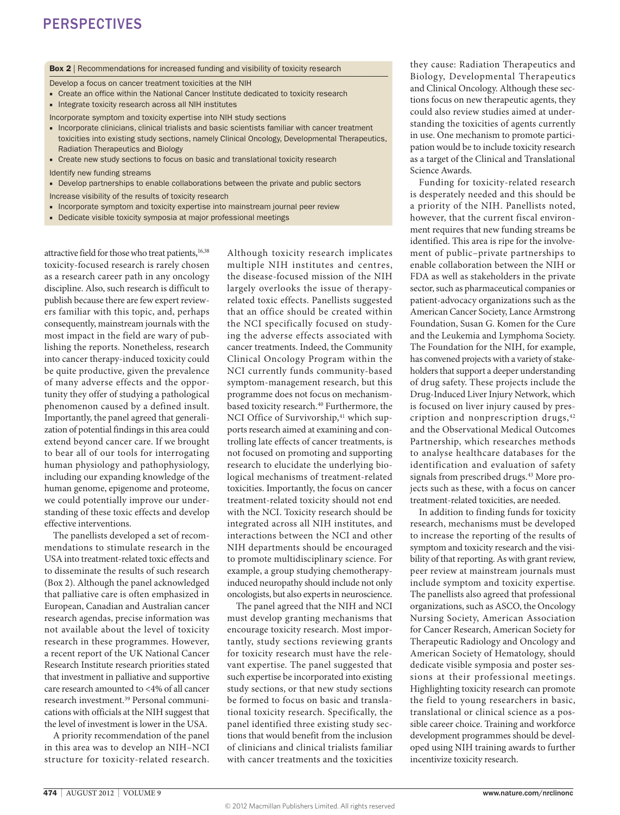**Box 2** | Recommendations for increased funding and visibility of toxicity research

Develop a focus on cancer treatment toxicities at the NIH

- Create an office within the National Cancer Institute dedicated to toxicity research
- Integrate toxicity research across all NIH institutes

Incorporate symptom and toxicity expertise into NIH study sections

- Incorporate clinicians, clinical trialists and basic scientists familiar with cancer treatment toxicities into existing study sections, namely Clinical Oncology, Developmental Therapeutics, Radiation Therapeutics and Biology
- Create new study sections to focus on basic and translational toxicity research

Identify new funding streams

- Develop partnerships to enable collaborations between the private and public sectors
- Increase visibility of the results of toxicity research
- Incorporate symptom and toxicity expertise into mainstream journal peer review
- Dedicate visible toxicity symposia at major professional meetings

attractive field for those who treat patients,<sup>16,38</sup> toxicity-focused research is rarely chosen as a research career path in any oncology discipline. Also, such research is difficult to publish because there are few expert reviewers familiar with this topic, and, perhaps consequently, mainstream journals with the most impact in the field are wary of publishing the reports. Nonetheless, research into cancer therapy-induced toxicity could be quite productive, given the prevalence of many adverse effects and the opportunity they offer of studying a pathological phenomenon caused by a defined insult. Importantly, the panel agreed that generalization of potential findings in this area could extend beyond cancer care. If we brought to bear all of our tools for interrogating human physiology and pathophysiology, including our expanding knowledge of the human genome, epigenome and proteome, we could potentially improve our understanding of these toxic effects and develop effective interventions.

The panellists developed a set of recommendations to stimulate research in the USA into treatment-related toxic effects and to disseminate the results of such research (Box 2). Although the panel acknowledged that palliative care is often emphasized in European, Canadian and Australian cancer research agendas, precise information was not available about the level of toxicity research in these programmes. However, a recent report of the UK National Cancer Research Institute research priorities stated that investment in palliative and supportive care research amounted to <4% of all cancer research investment.39 Personal communications with officials at the NIH suggest that the level of investment is lower in the USA.

A priority recommendation of the panel in this area was to develop an NIH–NCI structure for toxicity-related research.

Although toxicity research implicates multiple NIH institutes and centres, the disease-focused mission of the NIH largely overlooks the issue of therapyrelated toxic effects. Panellists suggested that an office should be created within the NCI specifically focused on studying the adverse effects associated with cancer treatments. Indeed, the Community Clinical Oncology Program within the NCI currently funds community-based symptom-management research, but this programme does not focus on mechanismbased toxicity research.<sup>40</sup> Furthermore, the NCI Office of Survivorship,<sup>41</sup> which supports research aimed at examining and controlling late effects of cancer treatments, is not focused on promoting and supporting research to elucidate the underlying biological mechanisms of treatment-related toxicities. Importantly, the focus on cancer treatment-related toxicity should not end with the NCI. Toxicity research should be integrated across all NIH institutes, and interactions between the NCI and other NIH departments should be encouraged to promote multidisciplinary science. For example, a group studying chemotherapyinduced neuropathy should include not only oncologists, but also experts in neuroscience.

The panel agreed that the NIH and NCI must develop granting mechanisms that encourage toxicity research. Most importantly, study sections reviewing grants for toxicity research must have the relevant expertise. The panel suggested that such expertise be incorporated into existing study sections, or that new study sections be formed to focus on basic and translational toxicity research. Specifically, the panel identified three existing study sections that would benefit from the inclusion of clinicians and clinical trialists familiar with cancer treatments and the toxicities

they cause: Radiation Therapeutics and Biology, Developmental Therapeutics and Clinical Oncology. Although these sections focus on new therapeutic agents, they could also review studies aimed at understanding the toxicities of agents currently in use. One mechanism to promote participation would be to include toxicity research as a target of the Clinical and Translational Science Awards.

Funding for toxicity-related research is desperately needed and this should be a priority of the NIH. Panellists noted, however, that the current fiscal environment requires that new funding streams be identified. This area is ripe for the involvement of public–private partnerships to enable collaboration between the NIH or FDA as well as stakeholders in the private sector, such as pharmaceutical companies or patient-advocacy organizations such as the American Cancer Society, Lance Armstrong Foundation, Susan G. Komen for the Cure and the Leukemia and Lymphoma Society. The Foundation for the NIH, for example, has convened projects with a variety of stakeholders that support a deeper understanding of drug safety. These projects include the Drug-Induced Liver Injury Network, which is focused on liver injury caused by prescription and nonprescription drugs,<sup>42</sup> and the Observational Medical Outcomes Partnership, which researches methods to analyse healthcare databases for the identification and evaluation of safety signals from prescribed drugs.<sup>43</sup> More projects such as these, with a focus on cancer treatment-related toxicities, are needed.

In addition to finding funds for toxicity research, mechanisms must be developed to increase the reporting of the results of symptom and toxicity research and the visibility of that reporting. As with grant review, peer review at mainstream journals must include symptom and toxicity expertise. The panellists also agreed that professional organizations, such as ASCO, the Oncology Nursing Society, American Association for Cancer Research, American Society for Therapeutic Radiology and Oncology and American Society of Hematology, should dedicate visible symposia and poster sessions at their professional meetings. Highlighting toxicity research can promote the field to young researchers in basic, translational or clinical science as a possible career choice. Training and workforce development programmes should be developed using NIH training awards to further incentivize toxicity research.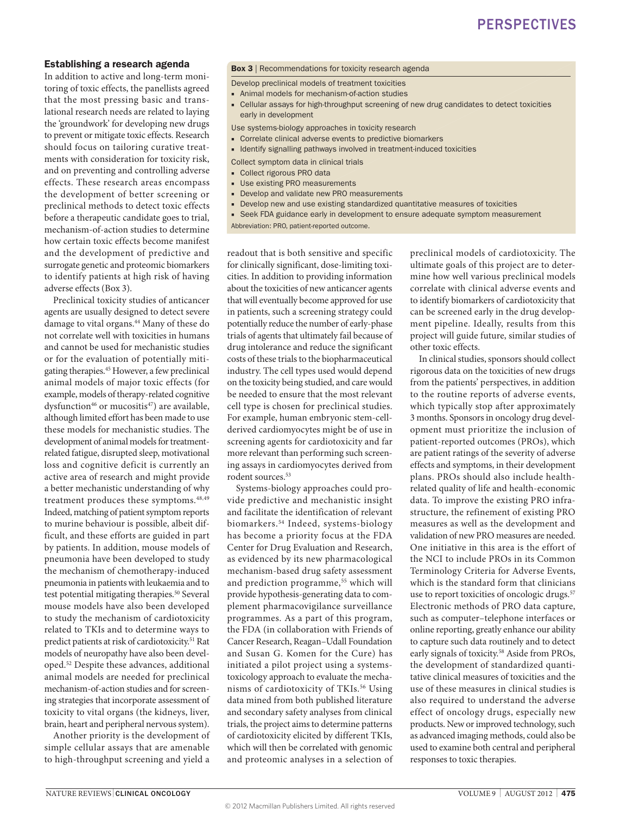#### Establishing a research agenda

In addition to active and long-term monitoring of toxic effects, the panellists agreed that the most pressing basic and translational research needs are related to laying the 'groundwork' for developing new drugs to prevent or mitigate toxic effects. Research should focus on tailoring curative treatments with consideration for toxicity risk, and on preventing and controlling adverse effects. These research areas encompass the development of better screening or preclinical methods to detect toxic effects before a therapeutic candidate goes to trial, mechanism-of-action studies to determine how certain toxic effects become manifest and the development of predictive and surrogate genetic and proteomic biomarkers to identify patients at high risk of having adverse effects (Box 3).

Preclinical toxicity studies of anticancer agents are usually designed to detect severe damage to vital organs.44 Many of these do not correlate well with toxicities in humans and cannot be used for mechanistic studies or for the evaluation of potentially mitigating therapies.45 However, a few preclinical animal models of major toxic effects (for example, models of therapy-related cognitive dysfunction<sup>46</sup> or mucositis<sup>47</sup>) are available, although limited effort has been made to use these models for mechanistic studies. The development of animal models for treatmentrelated fatigue, disrupted sleep, motivational loss and cognitive deficit is currently an active area of research and might provide a better mechanistic understanding of why treatment produces these symptoms.<sup>48,49</sup> Indeed, matching of patient symptom reports to murine behaviour is possible, albeit difficult, and these efforts are guided in part by patients. In addition, mouse models of pneumonia have been developed to study the mechanism of chemotherapy-induced pneumonia in patients with leukaemia and to test potential mitigating therapies.<sup>50</sup> Several mouse models have also been developed to study the mechanism of cardiotoxicity related to TKIs and to determine ways to predict patients at risk of cardiotoxicity.<sup>51</sup> Rat models of neuropathy have also been developed.52 Despite these advances, additional animal models are needed for preclinical mechanism-of-action studies and for screening strategies that incorporate assessment of toxicity to vital organs (the kidneys, liver, brain, heart and peripheral nervous system).

Another priority is the development of simple cellular assays that are amenable to high-throughput screening and yield a

#### **Box 3** | Recommendations for toxicity research agenda

Develop preclinical models of treatment toxicities

■ Animal models for mechanism-of-action studies

■ Cellular assays for high-throughput screening of new drug candidates to detect toxicities early in development

Use systems-biology approaches in toxicity research

- Correlate clinical adverse events to predictive biomarkers
- Identify signalling pathways involved in treatment-induced toxicities

Collect symptom data in clinical trials

- Collect rigorous PRO data
- Use existing PRO measurements
- Develop and validate new PRO measurements
- Develop new and use existing standardized quantitative measures of toxicities
- Seek FDA guidance early in development to ensure adequate symptom measurement Abbreviation: PRO, patient-reported outcome.

readout that is both sensitive and specific for clinically significant, dose-limiting toxicities. In addition to providing information about the toxicities of new anticancer agents that will eventually become approved for use in patients, such a screening strategy could potentially reduce the number of early-phase trials of agents that ultimately fail because of drug intolerance and reduce the significant costs of these trials to the biopharmaceutical industry. The cell types used would depend on the toxicity being studied, and care would be needed to ensure that the most relevant cell type is chosen for preclinical studies. For example, human embryonic stem-cellderived cardiomyocytes might be of use in screening agents for cardiotoxicity and far more relevant than performing such screening assays in cardiomyocytes derived from rodent sources.<sup>53</sup>

Systems-biology approaches could provide predictive and mechanistic insight and facilitate the identification of relevant biomarkers.54 Indeed, systems-biology has become a priority focus at the FDA Center for Drug Evaluation and Research, as evidenced by its new pharmacological mechanism-based drug safety assessment and prediction programme,<sup>55</sup> which will provide hypothesis-generating data to complement pharmacovigilance surveillance programmes. As a part of this program, the FDA (in collaboration with Friends of Cancer Research, Reagan–Udall Foundation and Susan G. Komen for the Cure) has initiated a pilot project using a systemstoxicology approach to evaluate the mechanisms of cardiotoxicity of TKIs.<sup>56</sup> Using data mined from both published literature and secondary safety analyses from clinical trials, the project aims to determine patterns of cardiotoxicity elicited by different TKIs, which will then be correlated with genomic and proteomic analyses in a selection of

preclinical models of cardiotoxicity. The ultimate goals of this project are to determine how well various preclinical models correlate with clinical adverse events and to identify biomarkers of cardiotoxicity that can be screened early in the drug development pipeline. Ideally, results from this project will guide future, similar studies of other toxic effects.

In clinical studies, sponsors should collect rigorous data on the toxicities of new drugs from the patients' perspectives, in addition to the routine reports of adverse events, which typically stop after approximately 3 months. Sponsors in oncology drug development must prioritize the inclusion of patient-reported outcomes (PROs), which are patient ratings of the severity of adverse effects and symptoms, in their development plans. PROs should also include healthrelated quality of life and health-economic data. To improve the existing PRO infrastructure, the refinement of existing PRO measures as well as the development and validation of new PRO measures are needed. One initiative in this area is the effort of the NCI to include PROs in its Common Terminology Criteria for Adverse Events, which is the standard form that clinicians use to report toxicities of oncologic drugs.<sup>57</sup> Electronic methods of PRO data capture, such as computer–telephone interfaces or online reporting, greatly enhance our ability to capture such data routinely and to detect early signals of toxicity.58 Aside from PROs, the development of standardized quantitative clinical measures of toxicities and the use of these measures in clinical studies is also required to understand the adverse effect of oncology drugs, especially new products. New or improved technology, such as advanced imaging methods, could also be used to examine both central and peripheral responses to toxic therapies.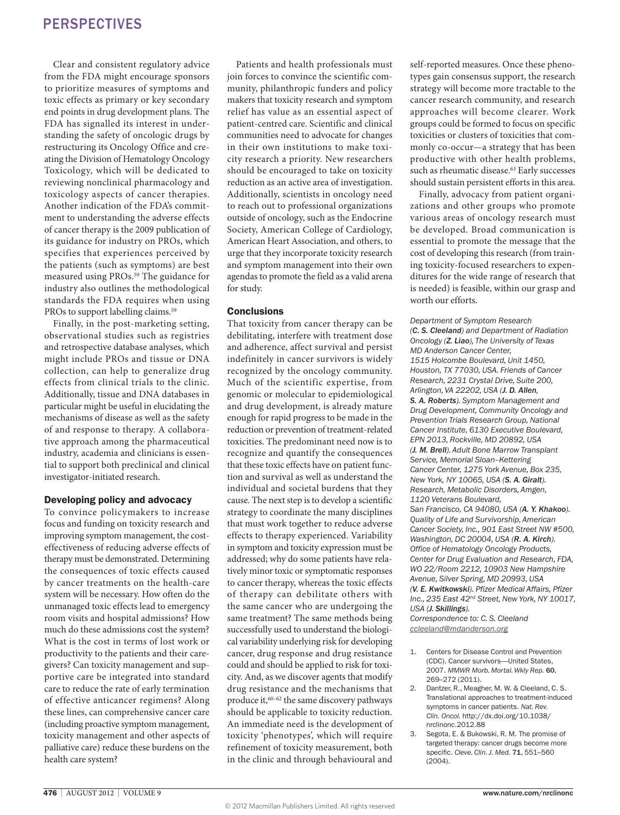Clear and consistent regulatory advice from the FDA might encourage sponsors to prioritize measures of symptoms and toxic effects as primary or key secondary end points in drug development plans. The FDA has signalled its interest in understanding the safety of oncologic drugs by restructuring its Oncology Office and creating the Division of Hematology Oncology Toxicology, which will be dedicated to reviewing nonclinical pharmacology and toxicology aspects of cancer therapies. Another indication of the FDA's commitment to understanding the adverse effects of cancer therapy is the 2009 publication of its guidance for industry on PROs, which specifies that experiences perceived by the patients (such as symptoms) are best measured using PROs.59 The guidance for industry also outlines the methodological standards the FDA requires when using PROs to support labelling claims.<sup>59</sup>

Finally, in the post-marketing setting, observational studies such as registries and retrospective database analyses, which might include PROs and tissue or DNA collection, can help to generalize drug effects from clinical trials to the clinic. Additionally, tissue and DNA databases in particular might be useful in elucidating the mechanisms of disease as well as the safety of and response to therapy. A collaborative approach among the pharmaceutical industry, academia and clinicians is essential to support both preclinical and clinical investigator-initiated research.

#### Developing policy and advocacy

To convince policymakers to increase focus and funding on toxicity research and improving symptom management, the costeffectiveness of reducing adverse effects of therapy must be demonstrated. Determining the consequences of toxic effects caused by cancer treatments on the health-care system will be necessary. How often do the unmanaged toxic effects lead to emergency room visits and hospital admissions? How much do these admissions cost the system? What is the cost in terms of lost work or productivity to the patients and their caregivers? Can toxicity management and supportive care be integrated into standard care to reduce the rate of early termination of effective anticancer regimens? Along these lines, can comprehensive cancer care (including proactive symptom management, toxicity management and other aspects of palliative care) reduce these burdens on the health care system?

Patients and health professionals must join forces to convince the scientific community, philanthropic funders and policy makers that toxicity research and symptom relief has value as an essential aspect of patient-centred care. Scientific and clinical communities need to advocate for changes in their own institutions to make toxicity research a priority. New researchers should be encouraged to take on toxicity reduction as an active area of investigation. Additionally, scientists in oncology need to reach out to professional organizations outside of oncology, such as the Endocrine Society, American College of Cardiology, American Heart Association, and others, to urge that they incorporate toxicity research and symptom management into their own agendas to promote the field as a valid arena for study.

#### **Conclusions**

That toxicity from cancer therapy can be debilitating, interfere with treatment dose and adherence, affect survival and persist indefinitely in cancer survivors is widely recognized by the oncology community. Much of the scientific expertise, from genomic or molecular to epidemiological and drug development, is already mature enough for rapid progress to be made in the reduction or prevention of treatment-related toxicities. The predominant need now is to recognize and quantify the consequences that these toxic effects have on patient function and survival as well as understand the individual and societal burdens that they cause. The next step is to develop a scientific strategy to coordinate the many disciplines that must work together to reduce adverse effects to therapy experienced. Variability in symptom and toxicity expression must be addressed; why do some patients have relatively minor toxic or symptomatic responses to cancer therapy, whereas the toxic effects of therapy can debilitate others with the same cancer who are undergoing the same treatment? The same methods being successfully used to understand the biological variability underlying risk for developing cancer, drug response and drug resistance could and should be applied to risk for toxicity. And, as we discover agents that modify drug resistance and the mechanisms that produce it,60–62 the same discovery pathways should be applicable to toxicity reduction. An immediate need is the development of toxicity 'phenotypes', which will require refinement of toxicity measurement, both in the clinic and through behavioural and

self-reported measures. Once these phenotypes gain consensus support, the research strategy will become more tractable to the cancer research community, and research approaches will become clearer. Work groups could be formed to focus on specific toxicities or clusters of toxicities that commonly co-occur—a strategy that has been productive with other health problems, such as rheumatic disease.<sup>63</sup> Early successes should sustain persistent efforts in this area.

Finally, advocacy from patient organizations and other groups who promote various areas of oncology research must be developed. Broad communication is essential to promote the message that the cost of developing this research (from training toxicity-focused researchers to expenditures for the wide range of research that is needed) is feasible, within our grasp and worth our efforts.

*Department of Symptom Research (C. S. Cleeland) and Department of Radiation Oncology (Z. Liao), The University of Texas MD Anderson Cancer Center, 1515 Holcombe Boulevard, Unit 1450, Houston, TX 77030, USA. Friends of Cancer Research, 2231 Crystal Drive, Suite 200, Arlington, VA 22202, USA (J. D. Allen, S. A. Roberts). Symptom Management and Drug Development, Community Oncology and Prevention Trials Research Group, National Cancer Institute, 6130 Executive Boulevard, EPN 2013, Rockville, MD 20892, USA (J. M. Brell). Adult Bone Marrow Transplant Service, Memorial Sloan–Kettering Cancer Center, 1275 York Avenue, Box 235, New York, NY 10065, USA (S. A. Giralt). Research, Metabolic Disorders, Amgen, 1120 Veterans Boulevard, San Francisco, CA 94080, USA (A. Y. Khakoo). Quality of Life and Survivorship, American Cancer Society, Inc., 901 East Street NW #500, Washington, DC 20004, USA (R. A. Kirch). Office of Hematology Oncology Products, Center for Drug Evaluation and Research, FDA, WO 22/Room 2212, 10903 New Hampshire Avenue, Silver Spring, MD 20993, USA (V. E. Kwitkowski). Pfizer Medical Affairs, Pfizer Inc., 235 East 42nd Street, New York, NY 10017, USA (J. Skillings).* 

*Correspondence to: C. S. Cleeland [ccleeland@mdanderson.org](mailto:ccleeland@mdanderson.org)*

- 1. Centers for Disease Control and Prevention (CDC). Cancer survivors—United States, 2007. *MMWR Morb. Mortal. Wkly Rep.* 60, 269–272 (2011).
- 2. Dantzer, R., Meagher, M. W. & Cleeland, C. S. Translational approaches to treatment-induced symptoms in cancer patients. *Nat. Rev. Clin. Oncol.* http://dx.doi.org/10.1038/ nrclinonc.2012.88
- 3. Segota, E. & Bukowski, R. M. The promise of targeted therapy: cancer drugs become more specific. *Cleve. Clin. J. Med.* 71, 551–560 (2004).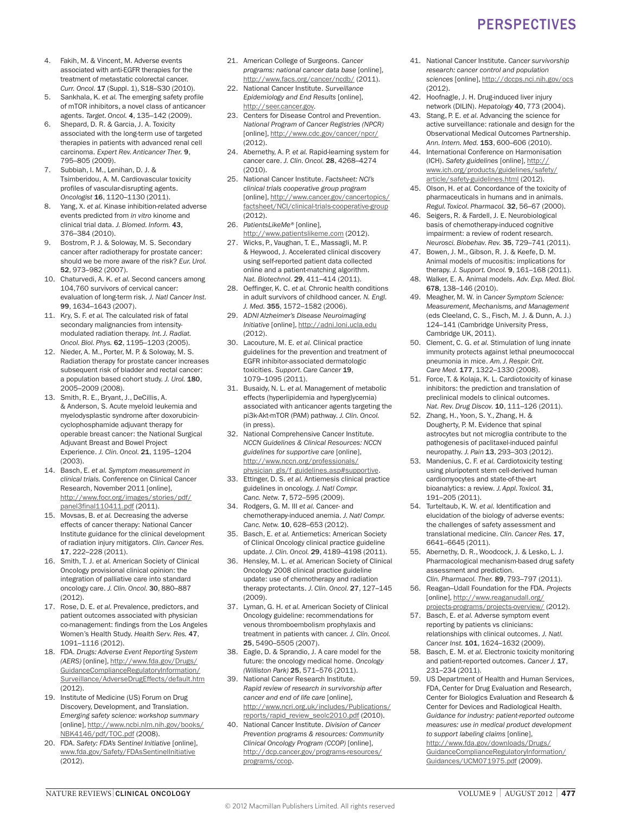- 4. Fakih, M. & Vincent, M. Adverse events associated with anti-EGFR therapies for the treatment of metastatic colorectal cancer. *Curr. Oncol.* 17 (Suppl. 1), S18–S30 (2010).
- 5. Sankhala, K. *et al.* The emerging safety profile of mTOR inhibitors, a novel class of anticancer agents. *Target. Oncol.* 4, 135–142 (2009).
- 6. Shepard, D. R. & Garcia, J. A. Toxicity associated with the long-term use of targeted therapies in patients with advanced renal cell carcinoma. *Expert Rev. Anticancer Ther.* 9, 795–805 (2009).
- 7. Subbiah, I. M., Lenihan, D. J. & Tsimberidou, A. M. Cardiovascular toxicity profiles of vascular-disrupting agents. *Oncologist* 16, 1120–1130 (2011).
- 8. Yang, X. *et al.* Kinase inhibition-related adverse events predicted from *in vitro* kinome and clinical trial data. *J. Biomed. Inform.* 43, 376–384 (2010).
- 9. Bostrom, P. J. & Soloway, M. S. Secondary cancer after radiotherapy for prostate cancer: should we be more aware of the risk? *Eur. Urol.* 52, 973–982 (2007).
- 10. Chaturvedi, A. K. *et al.* Second cancers among 104,760 survivors of cervical cancer: evaluation of long-term risk. *J. Natl Cancer Inst.* 99, 1634–1643 (2007).
- 11. Kry, S. F. *et al.* The calculated risk of fatal secondary malignancies from intensitymodulated radiation therapy. *Int. J. Radiat. Oncol. Biol. Phys.* 62, 1195–1203 (2005).
- 12. Nieder, A. M., Porter, M. P. & Soloway, M. S. Radiation therapy for prostate cancer increases subsequent risk of bladder and rectal cancer: a population based cohort study. *J. Urol.* 180, 2005–2009 (2008).
- 13. Smith, R. E., Bryant, J., DeCillis, A. & Anderson, S. Acute myeloid leukemia and myelodysplastic syndrome after doxorubicincyclophosphamide adjuvant therapy for operable breast cancer: the National Surgical Adjuvant Breast and Bowel Project Experience. *J. Clin. Oncol.* 21, 1195–1204 (2003).
- 14. Basch, E. *et al. Symptom measurement in clinical trials.* Conference on Clinical Cancer Research, November 2011 [online], [http://www.focr.org/images/stories/pdf/](http://www.focr.org/images/stories/pdf/panel3final110411.pdf) [panel3final110411.pdf](http://www.focr.org/images/stories/pdf/panel3final110411.pdf) (2011).
- 15. Movsas, B. *et al.* Decreasing the adverse effects of cancer therapy: National Cancer Institute guidance for the clinical development of radiation injury mitigators. *Clin. Cancer Res.* 17, 222–228 (2011).
- 16. Smith, T. J. *et al.* American Society of Clinical Oncology provisional clinical opinion: the integration of palliative care into standard oncology care. *J. Clin. Oncol.* 30, 880–887 (2012).
- 17. Rose, D. E. *et al.* Prevalence, predictors, and patient outcomes associated with physician co-management: findings from the Los Angeles Women's Health Study. *Health Serv. Res.* 47, 1091–1116 (2012).
- 18. FDA. *Drugs: Adverse Event Reporting System (AERS)* [online], [http://www.fda.gov/Drugs/](http://www.fda.gov/Drugs/GuidanceComplianceRegulatoryInformation/Surveillance/AdverseDrugEffects/default.htm) [GuidanceComplianceRegulatoryInformation/](http://www.fda.gov/Drugs/GuidanceComplianceRegulatoryInformation/Surveillance/AdverseDrugEffects/default.htm) [Surveillance/AdverseDrugEffects/default.htm](http://www.fda.gov/Drugs/GuidanceComplianceRegulatoryInformation/Surveillance/AdverseDrugEffects/default.htm) (2012).
- 19. Institute of Medicine (US) Forum on Drug Discovery, Development, and Translation. *Emerging safety science: workshop summary* [online], [http://www.ncbi.nlm.nih.gov/books/](http://www.ncbi.nlm.nih.gov/books/NBK4146/pdf/TOC.pdf) [NBK4146/pdf/TOC.pdf](http://www.ncbi.nlm.nih.gov/books/NBK4146/pdf/TOC.pdf) (2008).
- 20. FDA. *Safety: FDA's Sentinel Initiative* [online], [www.fda.gov/Safety/FDAsSentinelInitiative](http://www.fda.gov/Safety/FDAsSentinelInitiative) (2012).
- 21. American College of Surgeons. *Cancer programs: national cancer data base* [online], <http://www.facs.org/cancer/ncdb/>(2011).
- 22. National Cancer Institute. *Surveillance Epidemiology and End Results* [online], <http://seer.cancer.gov>.
- 23. Centers for Disease Control and Prevention. *National Program of Cancer Registries (NPCR)* [online],<http://www.cdc.gov/cancer/npcr/> (2012).
- 24. Abernethy, A. P. *et al.* Rapid-learning system for cancer care. *J. Clin. Oncol.* 28, 4268–4274  $(2010)$
- 25. National Cancer Institute. *Factsheet: NCI's clinical trials cooperative group program* [online], [http://www.cancer.gov/cancertopics/](http://www.cancer.gov/cancertopics/factsheet/NCI/clinical-trials-cooperative-group) [factsheet/NCI/clinical-trials-cooperative-group](http://www.cancer.gov/cancertopics/factsheet/NCI/clinical-trials-cooperative-group) (2012).
- 26. *PatientsLikeMe®* [online],
- <http://www.patientslikeme.com> (2012). 27. Wicks, P., Vaughan, T. E., Massagli, M. P.
- & Heywood, J. Accelerated clinical discovery using self-reported patient data collected online and a patient-matching algorithm. *Nat. Biotechnol.* 29, 411–414 (2011).
- 28. Oeffinger, K. C. *et al.* Chronic health conditions in adult survivors of childhood cancer. *N. Engl. J. Med.* 355, 1572–1582 (2006).
- 29. *ADNI Alzheimer's Disease Neuroimaging Initiative* [online], <http://adni.loni.ucla.edu> (2012).
- 30. Lacouture, M. E. *et al.* Clinical practice guidelines for the prevention and treatment of EGFR inhibitor-associated dermatologic toxicities. *Support. Care Cancer* 19, 1079–1095 (2011).
- 31. Busaidy, N. L. *et al.* Management of metabolic effects (hyperlipidemia and hyperglycemia) associated with anticancer agents targeting the pi3k-Akt-mTOR (PAM) pathway*. J. Clin. Oncol.* (in press).
- 32. National Comprehensive Cancer Institute. *NCCN Guidelines & Clinical Resources: NCCN guidelines for supportive care* [online], [http://www.nccn.org/professionals/](http://www.nccn.org/professionals/physician_gls/f_guidelines.asp#supportive) [physician\\_gls/f\\_guidelines.asp#supportive.](http://www.nccn.org/professionals/physician_gls/f_guidelines.asp#supportive)
- 33. Ettinger, D. S. *et al.* Antiemesis clinical practice guidelines in oncology. *J. Natl Compr. Canc. Netw.* 7, 572–595 (2009).
- 34. Rodgers, G. M. III *et al.* Cancer- and chemotherapy-induced anemia. *J. Natl Compr. Canc. Netw.* 10, 628–653 (2012).
- 35. Basch, E. *et al.* Antiemetics: American Society of Clinical Oncology clinical practice guideline update. *J. Clin. Oncol.* 29, 4189–4198 (2011).
- 36. Hensley, M. L. *et al.* American Society of Clinical Oncology 2008 clinical practice guideline update: use of chemotherapy and radiation therapy protectants. *J. Clin. Oncol.* 27, 127–145 (2009).
- 37. Lyman, G. H. *et al.* American Society of Clinical Oncology guideline: recommendations for venous thromboembolism prophylaxis and treatment in patients with cancer. *J. Clin. Oncol.* 25, 5490–5505 (2007).
- 38. Eagle, D. & Sprandio, J. A care model for the future: the oncology medical home. *Oncology (Williston Park)* 25, 571–576 (2011).
- 39. National Cancer Research Institute. *Rapid review of research in survivorship after cancer and end of life care* [online], [http://www.ncri.org.uk/includes/Publications/](http://www.ncri.org.uk/includes/Publications/reports/rapid_review_seolc2010.pdf) [reports/rapid\\_review\\_seolc2010.pdf](http://www.ncri.org.uk/includes/Publications/reports/rapid_review_seolc2010.pdf) (2010).
- 40. National Cancer Institute. *Division of Cancer Prevention programs & resources: Community Clinical Oncology Program (CCOP)* [online], [http://dcp.cancer.gov/programs-resources/](http://dcp.cancer.gov/programs-resources/programs/ccop) [programs/ccop](http://dcp.cancer.gov/programs-resources/programs/ccop).
- 41. National Cancer Institute. *Cancer survivorship research: cancer control and population sciences* [online],<http://dccps.nci.nih.gov/ocs> (2012).
- 42. Hoofnagle, J. H. Drug-induced liver injury network (DILIN). *Hepatology* 40, 773 (2004).
- 43. Stang, P. E. *et al.* Advancing the science for active surveillance: rationale and design for the Observational Medical Outcomes Partnership. *Ann. Intern. Med.* 153, 600–606 (2010).
- 44. International Conference on Harmonisation (ICH). *Safety guidelines* [online], [http://](http://www.ich.org/products/guidelines/safety/article/safety-guidelines.html) [www.ich.org/products/guidelines/safety/](http://www.ich.org/products/guidelines/safety/article/safety-guidelines.html) [article/safety-guidelines.html](http://www.ich.org/products/guidelines/safety/article/safety-guidelines.html) (2012).
- 45. Olson, H. *et al.* Concordance of the toxicity of pharmaceuticals in humans and in animals. *Regul. Toxicol. Pharmacol.* 32, 56–67 (2000).
- 46. Seigers, R. & Fardell, J. E. Neurobiological basis of chemotherapy-induced cognitive impairment: a review of rodent research. *Neurosci. Biobehav. Rev.* 35, 729–741 (2011).
- 47. Bowen, J. M., Gibson, R. J. & Keefe, D. M. Animal models of mucositis: implications for therapy. *J. Support. Oncol.* 9, 161–168 (2011).
- 48. Walker, E. A. Animal models. *Adv. Exp. Med. Biol.* 678, 138–146 (2010).
- 49. Meagher, M. W. in *Cancer Symptom Science: Measurement, Mechanisms, and Management* (eds Cleeland, C. S., Fisch, M. J. & Dunn, A. J.) 124–141 (Cambridge University Press, Cambridge UK, 2011).
- 50. Clement, C. G. *et al.* Stimulation of lung innate immunity protects against lethal pneumococcal pneumonia in mice. *Am. J. Respir. Crit. Care Med.* 177, 1322–1330 (2008).
- 51. Force, T. & Kolaja, K. L. Cardiotoxicity of kinase inhibitors: the prediction and translation of preclinical models to clinical outcomes. *Nat. Rev. Drug Discov.* 10, 111–126 (2011).
- 52. Zhang, H., Yoon, S. Y., Zhang, H. & Dougherty, P. M. Evidence that spinal astrocytes but not microglia contribute to the pathogenesis of paclitaxel-induced painful neuropathy. *J. Pain* 13, 293–303 (2012).
- 53. Mandenius, C. F. *et al.* Cardiotoxicity testing using pluripotent stem cell-derived human cardiomyocytes and state-of-the-art bioanalytics: a review. *J. Appl. Toxicol.* 31, 191–205 (2011).
- 54. Turteltaub, K. W. *et al.* Identification and elucidation of the biology of adverse events: the challenges of safety assessment and translational medicine. *Clin. Cancer Res.* 17, 6641–6645 (2011).
- 55. Abernethy, D. R., Woodcock, J. & Lesko, L. J. Pharmacological mechanism-based drug safety assessment and prediction. *Clin. Pharmacol. Ther.* 89, 793–797 (2011).
- 56. Reagan–Udall Foundation for the FDA. *Projects* [online], [http://www.reaganudall.org/](http://www.reaganudall.org/projects-programs/projects-overview/) [projects-programs/projects-overview/](http://www.reaganudall.org/projects-programs/projects-overview/) (2012).
- 57. Basch, E. *et al.* Adverse symptom event reporting by patients vs clinicians: relationships with clinical outcomes. *J. Natl. Cancer Inst.* 101, 1624–1632 (2009).
- 58. Basch, E. M. *et al.* Electronic toxicity monitoring and patient-reported outcomes. *Cancer J.* 17, 231–234 (2011).
- US Department of Health and Human Services, FDA, Center for Drug Evaluation and Research, Center for Biologics Evaluation and Research & Center for Devices and Radiological Health. *Guidance for industry: patient-reported outcome measures: use in medical product development to support labeling claims* [online], [http://www.fda.gov/downloads/Drugs/](http://www.fda.gov/downloads/Drugs/GuidanceComplianceRegulatoryInformation/Guidances/UCM071975.pdf) [GuidanceComplianceRegulatoryInformation/](http://www.fda.gov/downloads/Drugs/GuidanceComplianceRegulatoryInformation/Guidances/UCM071975.pdf) [Guidances/UCM071975.pdf](http://www.fda.gov/downloads/Drugs/GuidanceComplianceRegulatoryInformation/Guidances/UCM071975.pdf) (2009).